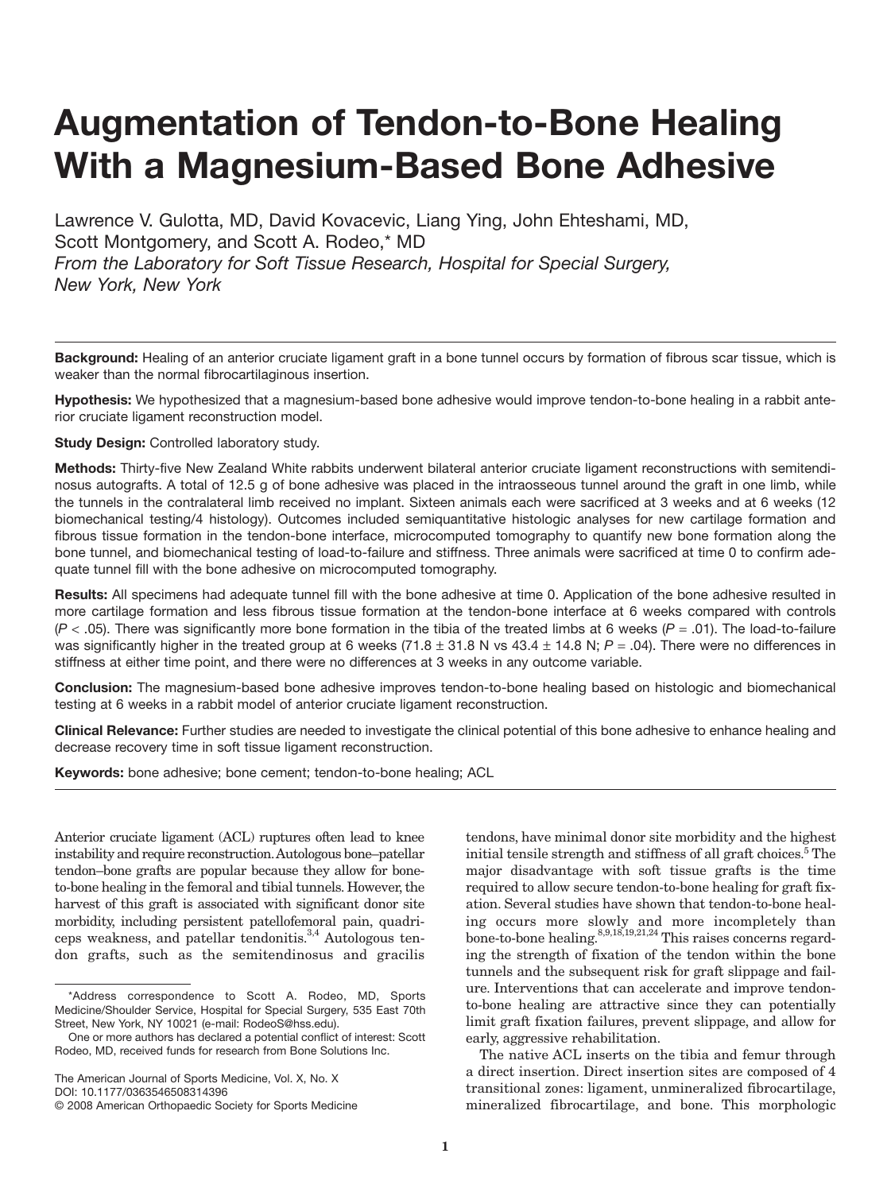# **Augmentation of Tendon-to-Bone Healing With a Magnesium-Based Bone Adhesive**

Lawrence V. Gulotta, MD, David Kovacevic, Liang Ying, John Ehteshami, MD, Scott Montgomery, and Scott A. Rodeo,\* MD *From the Laboratory for Soft Tissue Research, Hospital for Special Surgery, New York, New York*

**Background:** Healing of an anterior cruciate ligament graft in a bone tunnel occurs by formation of fibrous scar tissue, which is weaker than the normal fibrocartilaginous insertion.

**Hypothesis:** We hypothesized that a magnesium-based bone adhesive would improve tendon-to-bone healing in a rabbit anterior cruciate ligament reconstruction model.

**Study Design: Controlled laboratory study.** 

**Methods:** Thirty-five New Zealand White rabbits underwent bilateral anterior cruciate ligament reconstructions with semitendinosus autografts. A total of 12.5 g of bone adhesive was placed in the intraosseous tunnel around the graft in one limb, while the tunnels in the contralateral limb received no implant. Sixteen animals each were sacrificed at 3 weeks and at 6 weeks (12 biomechanical testing/4 histology). Outcomes included semiquantitative histologic analyses for new cartilage formation and fibrous tissue formation in the tendon-bone interface, microcomputed tomography to quantify new bone formation along the bone tunnel, and biomechanical testing of load-to-failure and stiffness. Three animals were sacrificed at time 0 to confirm adequate tunnel fill with the bone adhesive on microcomputed tomography.

**Results:** All specimens had adequate tunnel fill with the bone adhesive at time 0. Application of the bone adhesive resulted in more cartilage formation and less fibrous tissue formation at the tendon-bone interface at 6 weeks compared with controls (*P* < .05). There was significantly more bone formation in the tibia of the treated limbs at 6 weeks (*P* = .01). The load-to-failure was significantly higher in the treated group at 6 weeks (71.8  $\pm$  31.8 N vs 43.4  $\pm$  14.8 N;  $P = .04$ ). There were no differences in stiffness at either time point, and there were no differences at 3 weeks in any outcome variable.

**Conclusion:** The magnesium-based bone adhesive improves tendon-to-bone healing based on histologic and biomechanical testing at 6 weeks in a rabbit model of anterior cruciate ligament reconstruction.

**Clinical Relevance:** Further studies are needed to investigate the clinical potential of this bone adhesive to enhance healing and decrease recovery time in soft tissue ligament reconstruction.

**Keywords:** bone adhesive; bone cement; tendon-to-bone healing; ACL

Anterior cruciate ligament (ACL) ruptures often lead to knee instability and require reconstruction.Autologous bone–patellar tendon–bone grafts are popular because they allow for boneto-bone healing in the femoral and tibial tunnels. However, the harvest of this graft is associated with significant donor site morbidity, including persistent patellofemoral pain, quadriceps weakness, and patellar tendonitis. $3,4$  Autologous tendon grafts, such as the semitendinosus and gracilis

The American Journal of Sports Medicine, Vol. X, No. X DOI: 10.1177/0363546508314396

tendons, have minimal donor site morbidity and the highest initial tensile strength and stiffness of all graft choices.<sup>5</sup> The major disadvantage with soft tissue grafts is the time required to allow secure tendon-to-bone healing for graft fixation. Several studies have shown that tendon-to-bone healing occurs more slowly and more incompletely than bone-to-bone healing.  $8,9,18,19,21,24$  This raises concerns regarding the strength of fixation of the tendon within the bone tunnels and the subsequent risk for graft slippage and failure. Interventions that can accelerate and improve tendonto-bone healing are attractive since they can potentially limit graft fixation failures, prevent slippage, and allow for early, aggressive rehabilitation.

The native ACL inserts on the tibia and femur through a direct insertion. Direct insertion sites are composed of 4 transitional zones: ligament, unmineralized fibrocartilage, mineralized fibrocartilage, and bone. This morphologic

<sup>\*</sup>Address correspondence to Scott A. Rodeo, MD, Sports Medicine/Shoulder Service, Hospital for Special Surgery, 535 East 70th Street, New York, NY 10021 (e-mail: RodeoS@hss.edu).

One or more authors has declared a potential conflict of interest: Scott Rodeo, MD, received funds for research from Bone Solutions Inc.

<sup>© 2008</sup> American Orthopaedic Society for Sports Medicine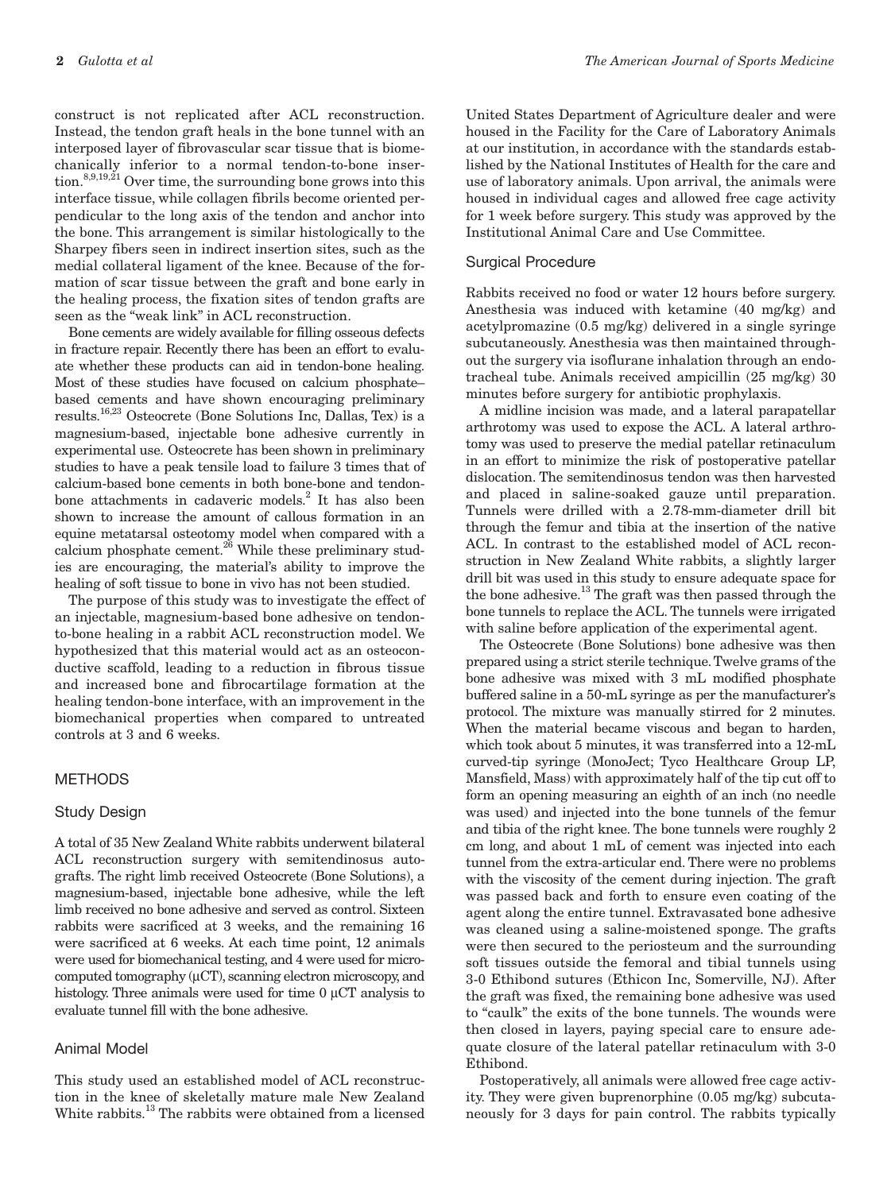construct is not replicated after ACL reconstruction. Instead, the tendon graft heals in the bone tunnel with an interposed layer of fibrovascular scar tissue that is biomechanically inferior to a normal tendon-to-bone insertion.<sup>8,9,19,21</sup> Over time, the surrounding bone grows into this interface tissue, while collagen fibrils become oriented perpendicular to the long axis of the tendon and anchor into the bone. This arrangement is similar histologically to the Sharpey fibers seen in indirect insertion sites, such as the medial collateral ligament of the knee. Because of the formation of scar tissue between the graft and bone early in the healing process, the fixation sites of tendon grafts are seen as the "weak link" in ACL reconstruction.

Bone cements are widely available for filling osseous defects in fracture repair. Recently there has been an effort to evaluate whether these products can aid in tendon-bone healing. Most of these studies have focused on calcium phosphate– based cements and have shown encouraging preliminary results.16,23 Osteocrete (Bone Solutions Inc, Dallas, Tex) is a magnesium-based, injectable bone adhesive currently in experimental use. Osteocrete has been shown in preliminary studies to have a peak tensile load to failure 3 times that of calcium-based bone cements in both bone-bone and tendonbone attachments in cadaveric models.<sup>2</sup> It has also been shown to increase the amount of callous formation in an equine metatarsal osteotomy model when compared with a calcium phosphate cement.<sup>26</sup> While these preliminary studies are encouraging, the material's ability to improve the healing of soft tissue to bone in vivo has not been studied.

The purpose of this study was to investigate the effect of an injectable, magnesium-based bone adhesive on tendonto-bone healing in a rabbit ACL reconstruction model. We hypothesized that this material would act as an osteoconductive scaffold, leading to a reduction in fibrous tissue and increased bone and fibrocartilage formation at the healing tendon-bone interface, with an improvement in the biomechanical properties when compared to untreated controls at 3 and 6 weeks.

## METHODS

#### Study Design

A total of 35 New Zealand White rabbits underwent bilateral ACL reconstruction surgery with semitendinosus autografts. The right limb received Osteocrete (Bone Solutions), a magnesium-based, injectable bone adhesive, while the left limb received no bone adhesive and served as control. Sixteen rabbits were sacrificed at 3 weeks, and the remaining 16 were sacrificed at 6 weeks. At each time point, 12 animals were used for biomechanical testing, and 4 were used for microcomputed tomography (µCT), scanning electron microscopy, and histology. Three animals were used for time 0  $\mu$ CT analysis to evaluate tunnel fill with the bone adhesive.

## Animal Model

This study used an established model of ACL reconstruction in the knee of skeletally mature male New Zealand White rabbits.<sup>13</sup> The rabbits were obtained from a licensed

United States Department of Agriculture dealer and were housed in the Facility for the Care of Laboratory Animals at our institution, in accordance with the standards established by the National Institutes of Health for the care and use of laboratory animals. Upon arrival, the animals were housed in individual cages and allowed free cage activity for 1 week before surgery. This study was approved by the Institutional Animal Care and Use Committee.

#### Surgical Procedure

Rabbits received no food or water 12 hours before surgery. Anesthesia was induced with ketamine (40 mg/kg) and acetylpromazine (0.5 mg/kg) delivered in a single syringe subcutaneously. Anesthesia was then maintained throughout the surgery via isoflurane inhalation through an endotracheal tube. Animals received ampicillin (25 mg/kg) 30 minutes before surgery for antibiotic prophylaxis.

A midline incision was made, and a lateral parapatellar arthrotomy was used to expose the ACL. A lateral arthrotomy was used to preserve the medial patellar retinaculum in an effort to minimize the risk of postoperative patellar dislocation. The semitendinosus tendon was then harvested and placed in saline-soaked gauze until preparation. Tunnels were drilled with a 2.78-mm-diameter drill bit through the femur and tibia at the insertion of the native ACL. In contrast to the established model of ACL reconstruction in New Zealand White rabbits, a slightly larger drill bit was used in this study to ensure adequate space for the bone adhesive.<sup>13</sup> The graft was then passed through the bone tunnels to replace the ACL. The tunnels were irrigated with saline before application of the experimental agent.

The Osteocrete (Bone Solutions) bone adhesive was then prepared using a strict sterile technique.Twelve grams of the bone adhesive was mixed with 3 mL modified phosphate buffered saline in a 50-mL syringe as per the manufacturer's protocol. The mixture was manually stirred for 2 minutes. When the material became viscous and began to harden, which took about 5 minutes, it was transferred into a 12-mL curved-tip syringe (MonoJect; Tyco Healthcare Group LP, Mansfield, Mass) with approximately half of the tip cut off to form an opening measuring an eighth of an inch (no needle was used) and injected into the bone tunnels of the femur and tibia of the right knee. The bone tunnels were roughly 2 cm long, and about 1 mL of cement was injected into each tunnel from the extra-articular end. There were no problems with the viscosity of the cement during injection. The graft was passed back and forth to ensure even coating of the agent along the entire tunnel. Extravasated bone adhesive was cleaned using a saline-moistened sponge. The grafts were then secured to the periosteum and the surrounding soft tissues outside the femoral and tibial tunnels using 3-0 Ethibond sutures (Ethicon Inc, Somerville, NJ). After the graft was fixed, the remaining bone adhesive was used to "caulk" the exits of the bone tunnels. The wounds were then closed in layers, paying special care to ensure adequate closure of the lateral patellar retinaculum with 3-0 Ethibond.

Postoperatively, all animals were allowed free cage activity. They were given buprenorphine (0.05 mg/kg) subcutaneously for 3 days for pain control. The rabbits typically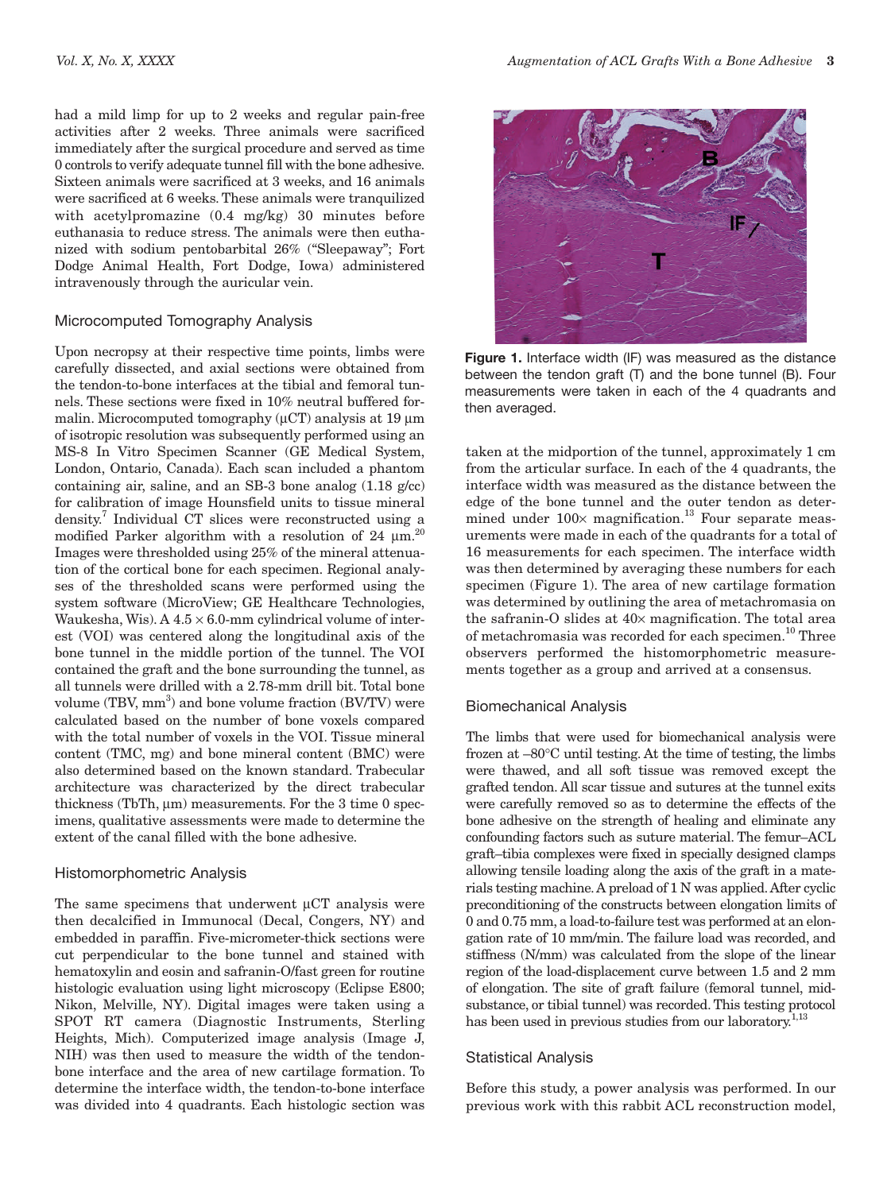had a mild limp for up to 2 weeks and regular pain-free activities after 2 weeks. Three animals were sacrificed immediately after the surgical procedure and served as time 0 controls to verify adequate tunnel fill with the bone adhesive. Sixteen animals were sacrificed at 3 weeks, and 16 animals were sacrificed at 6 weeks. These animals were tranquilized with acetylpromazine (0.4 mg/kg) 30 minutes before euthanasia to reduce stress. The animals were then euthanized with sodium pentobarbital 26% ("Sleepaway"; Fort Dodge Animal Health, Fort Dodge, Iowa) administered intravenously through the auricular vein.

### Microcomputed Tomography Analysis

Upon necropsy at their respective time points, limbs were carefully dissected, and axial sections were obtained from the tendon-to-bone interfaces at the tibial and femoral tunnels. These sections were fixed in 10% neutral buffered formalin. Microcomputed tomography  $(\mu CT)$  analysis at 19  $\mu$ m of isotropic resolution was subsequently performed using an MS-8 In Vitro Specimen Scanner (GE Medical System, London, Ontario, Canada). Each scan included a phantom containing air, saline, and an SB-3 bone analog (1.18 g/cc) for calibration of image Hounsfield units to tissue mineral density.7 Individual CT slices were reconstructed using a modified Parker algorithm with a resolution of 24  $\mu$ m.<sup>20</sup> Images were thresholded using 25% of the mineral attenuation of the cortical bone for each specimen. Regional analyses of the thresholded scans were performed using the system software (MicroView; GE Healthcare Technologies, Waukesha, Wis). A  $4.5 \times 6.0$ -mm cylindrical volume of interest (VOI) was centered along the longitudinal axis of the bone tunnel in the middle portion of the tunnel. The VOI contained the graft and the bone surrounding the tunnel, as all tunnels were drilled with a 2.78-mm drill bit. Total bone volume  $(TBV, \text{mm}^3)$  and bone volume fraction  $(BV/TV)$  were calculated based on the number of bone voxels compared with the total number of voxels in the VOI. Tissue mineral content (TMC, mg) and bone mineral content (BMC) were also determined based on the known standard. Trabecular architecture was characterized by the direct trabecular thickness (TbTh,  $\mu$ m) measurements. For the 3 time 0 specimens, qualitative assessments were made to determine the extent of the canal filled with the bone adhesive.

### Histomorphometric Analysis

The same specimens that underwent  $\mu$ CT analysis were then decalcified in Immunocal (Decal, Congers, NY) and embedded in paraffin. Five-micrometer-thick sections were cut perpendicular to the bone tunnel and stained with hematoxylin and eosin and safranin-O/fast green for routine histologic evaluation using light microscopy (Eclipse E800; Nikon, Melville, NY). Digital images were taken using a SPOT RT camera (Diagnostic Instruments, Sterling Heights, Mich). Computerized image analysis (Image J, NIH) was then used to measure the width of the tendonbone interface and the area of new cartilage formation. To determine the interface width, the tendon-to-bone interface was divided into 4 quadrants. Each histologic section was



**Figure 1.** Interface width (IF) was measured as the distance between the tendon graft (T) and the bone tunnel (B). Four measurements were taken in each of the 4 quadrants and then averaged.

taken at the midportion of the tunnel, approximately 1 cm from the articular surface. In each of the 4 quadrants, the interface width was measured as the distance between the edge of the bone tunnel and the outer tendon as determined under  $100\times$  magnification.<sup>13</sup> Four separate measurements were made in each of the quadrants for a total of 16 measurements for each specimen. The interface width was then determined by averaging these numbers for each specimen (Figure 1). The area of new cartilage formation was determined by outlining the area of metachromasia on the safranin-O slides at 40× magnification. The total area of metachromasia was recorded for each specimen.<sup>10</sup> Three observers performed the histomorphometric measurements together as a group and arrived at a consensus.

### Biomechanical Analysis

The limbs that were used for biomechanical analysis were frozen at –80°C until testing. At the time of testing, the limbs were thawed, and all soft tissue was removed except the grafted tendon. All scar tissue and sutures at the tunnel exits were carefully removed so as to determine the effects of the bone adhesive on the strength of healing and eliminate any confounding factors such as suture material. The femur–ACL graft–tibia complexes were fixed in specially designed clamps allowing tensile loading along the axis of the graft in a materials testing machine.A preload of 1 N was applied.After cyclic preconditioning of the constructs between elongation limits of 0 and 0.75 mm, a load-to-failure test was performed at an elongation rate of 10 mm/min. The failure load was recorded, and stiffness (N/mm) was calculated from the slope of the linear region of the load-displacement curve between 1.5 and 2 mm of elongation. The site of graft failure (femoral tunnel, midsubstance, or tibial tunnel) was recorded. This testing protocol has been used in previous studies from our laboratory.<sup>1,13</sup>

### Statistical Analysis

Before this study, a power analysis was performed. In our previous work with this rabbit ACL reconstruction model,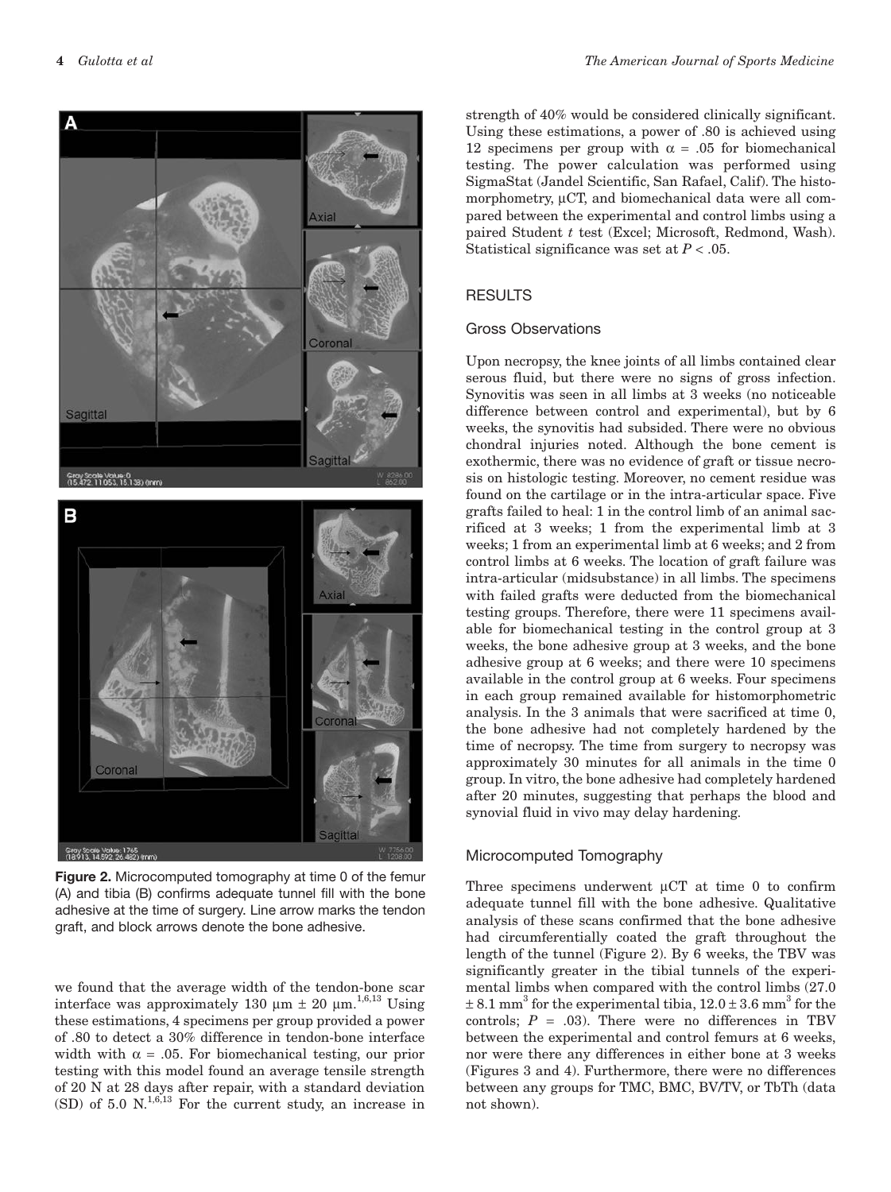

**Figure 2.** Microcomputed tomography at time 0 of the femur (A) and tibia (B) confirms adequate tunnel fill with the bone adhesive at the time of surgery. Line arrow marks the tendon graft, and block arrows denote the bone adhesive.

we found that the average width of the tendon-bone scar interface was approximately 130  $\mu$ m  $\pm$  20  $\mu$ m.<sup>1,6,13</sup> Using these estimations, 4 specimens per group provided a power of .80 to detect a 30% difference in tendon-bone interface width with  $\alpha = .05$ . For biomechanical testing, our prior testing with this model found an average tensile strength of 20 N at 28 days after repair, with a standard deviation (SD) of 5.0 N.<sup>1,6,13</sup> For the current study, an increase in

strength of 40% would be considered clinically significant. Using these estimations, a power of .80 is achieved using 12 specimens per group with  $\alpha = .05$  for biomechanical testing. The power calculation was performed using SigmaStat (Jandel Scientific, San Rafael, Calif). The histomorphometry, µCT, and biomechanical data were all compared between the experimental and control limbs using a paired Student *t* test (Excel; Microsoft, Redmond, Wash). Statistical significance was set at  $P < .05$ .

#### RESULTS

## Gross Observations

Upon necropsy, the knee joints of all limbs contained clear serous fluid, but there were no signs of gross infection. Synovitis was seen in all limbs at 3 weeks (no noticeable difference between control and experimental), but by 6 weeks, the synovitis had subsided. There were no obvious chondral injuries noted. Although the bone cement is exothermic, there was no evidence of graft or tissue necrosis on histologic testing. Moreover, no cement residue was found on the cartilage or in the intra-articular space. Five grafts failed to heal: 1 in the control limb of an animal sacrificed at 3 weeks; 1 from the experimental limb at 3 weeks; 1 from an experimental limb at 6 weeks; and 2 from control limbs at 6 weeks. The location of graft failure was intra-articular (midsubstance) in all limbs. The specimens with failed grafts were deducted from the biomechanical testing groups. Therefore, there were 11 specimens available for biomechanical testing in the control group at 3 weeks, the bone adhesive group at 3 weeks, and the bone adhesive group at 6 weeks; and there were 10 specimens available in the control group at 6 weeks. Four specimens in each group remained available for histomorphometric analysis. In the 3 animals that were sacrificed at time 0, the bone adhesive had not completely hardened by the time of necropsy. The time from surgery to necropsy was approximately 30 minutes for all animals in the time 0 group. In vitro, the bone adhesive had completely hardened after 20 minutes, suggesting that perhaps the blood and synovial fluid in vivo may delay hardening.

## Microcomputed Tomography

Three specimens underwent  $\mu$ CT at time 0 to confirm adequate tunnel fill with the bone adhesive. Qualitative analysis of these scans confirmed that the bone adhesive had circumferentially coated the graft throughout the length of the tunnel (Figure 2). By 6 weeks, the TBV was significantly greater in the tibial tunnels of the experimental limbs when compared with the control limbs (27.0  $\pm$  8.1 mm<sup>3</sup> for the experimental tibia, 12.0  $\pm$  3.6 mm<sup>3</sup> for the controls;  $P = .03$ ). There were no differences in TBV between the experimental and control femurs at 6 weeks, nor were there any differences in either bone at 3 weeks (Figures 3 and 4). Furthermore, there were no differences between any groups for TMC, BMC, BV/TV, or TbTh (data not shown).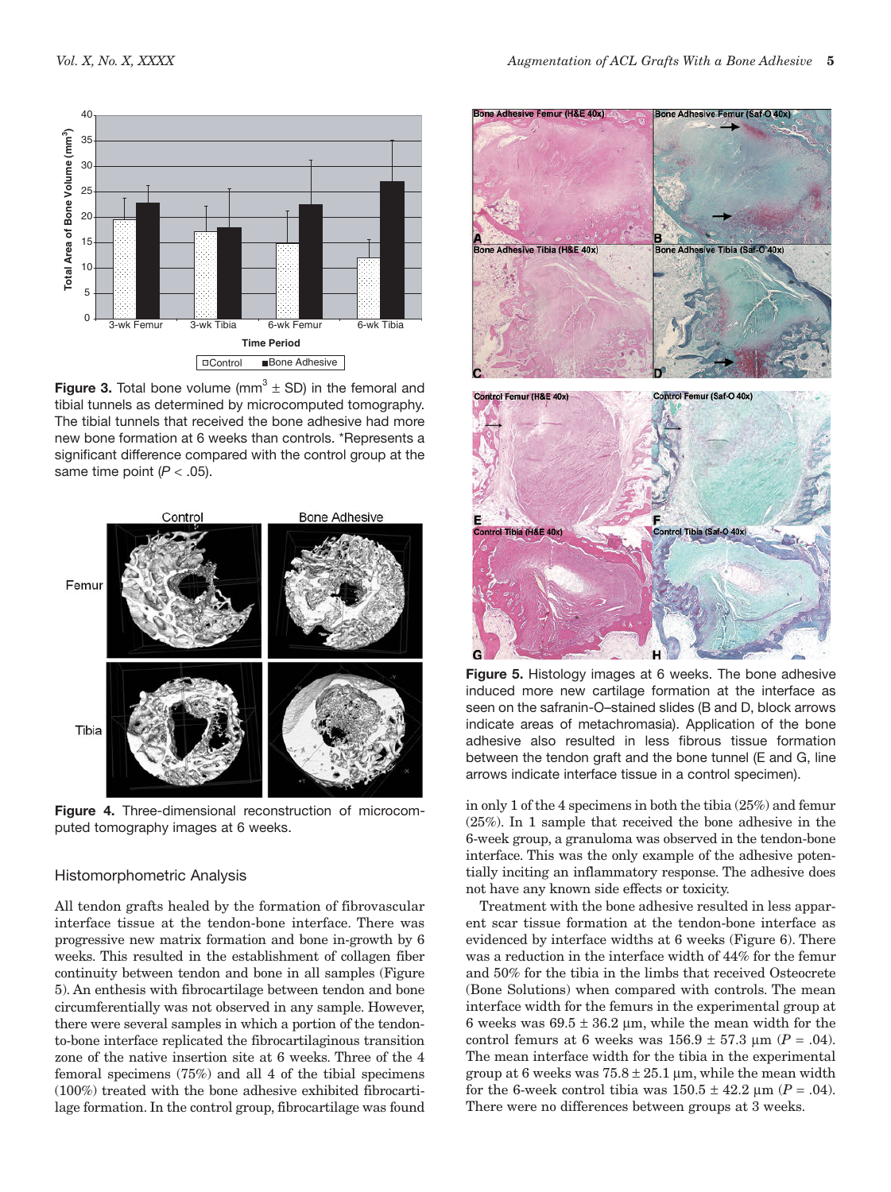

**Figure 3.** Total bone volume ( $mm^3 \pm SD$ ) in the femoral and tibial tunnels as determined by microcomputed tomography. The tibial tunnels that received the bone adhesive had more new bone formation at 6 weeks than controls. \*Represents a significant difference compared with the control group at the same time point (*P* < .05).



**Figure 4.** Three-dimensional reconstruction of microcomputed tomography images at 6 weeks.

#### Histomorphometric Analysis

All tendon grafts healed by the formation of fibrovascular interface tissue at the tendon-bone interface. There was progressive new matrix formation and bone in-growth by 6 weeks. This resulted in the establishment of collagen fiber continuity between tendon and bone in all samples (Figure 5). An enthesis with fibrocartilage between tendon and bone circumferentially was not observed in any sample. However, there were several samples in which a portion of the tendonto-bone interface replicated the fibrocartilaginous transition zone of the native insertion site at 6 weeks. Three of the 4 femoral specimens (75%) and all 4 of the tibial specimens (100%) treated with the bone adhesive exhibited fibrocartilage formation. In the control group, fibrocartilage was found



**Figure 5.** Histology images at 6 weeks. The bone adhesive induced more new cartilage formation at the interface as seen on the safranin-O–stained slides (B and D, block arrows indicate areas of metachromasia). Application of the bone adhesive also resulted in less fibrous tissue formation between the tendon graft and the bone tunnel (E and G, line arrows indicate interface tissue in a control specimen).

in only 1 of the 4 specimens in both the tibia (25%) and femur (25%). In 1 sample that received the bone adhesive in the 6-week group, a granuloma was observed in the tendon-bone interface. This was the only example of the adhesive potentially inciting an inflammatory response. The adhesive does not have any known side effects or toxicity.

Treatment with the bone adhesive resulted in less apparent scar tissue formation at the tendon-bone interface as evidenced by interface widths at 6 weeks (Figure 6). There was a reduction in the interface width of 44% for the femur and 50% for the tibia in the limbs that received Osteocrete (Bone Solutions) when compared with controls. The mean interface width for the femurs in the experimental group at 6 weeks was  $69.5 \pm 36.2 \mu m$ , while the mean width for the control femurs at 6 weeks was  $156.9 \pm 57.3$  µm ( $P = .04$ ). The mean interface width for the tibia in the experimental group at 6 weeks was  $75.8 \pm 25.1$  µm, while the mean width for the 6-week control tibia was  $150.5 \pm 42.2$  µm ( $P = .04$ ). There were no differences between groups at 3 weeks.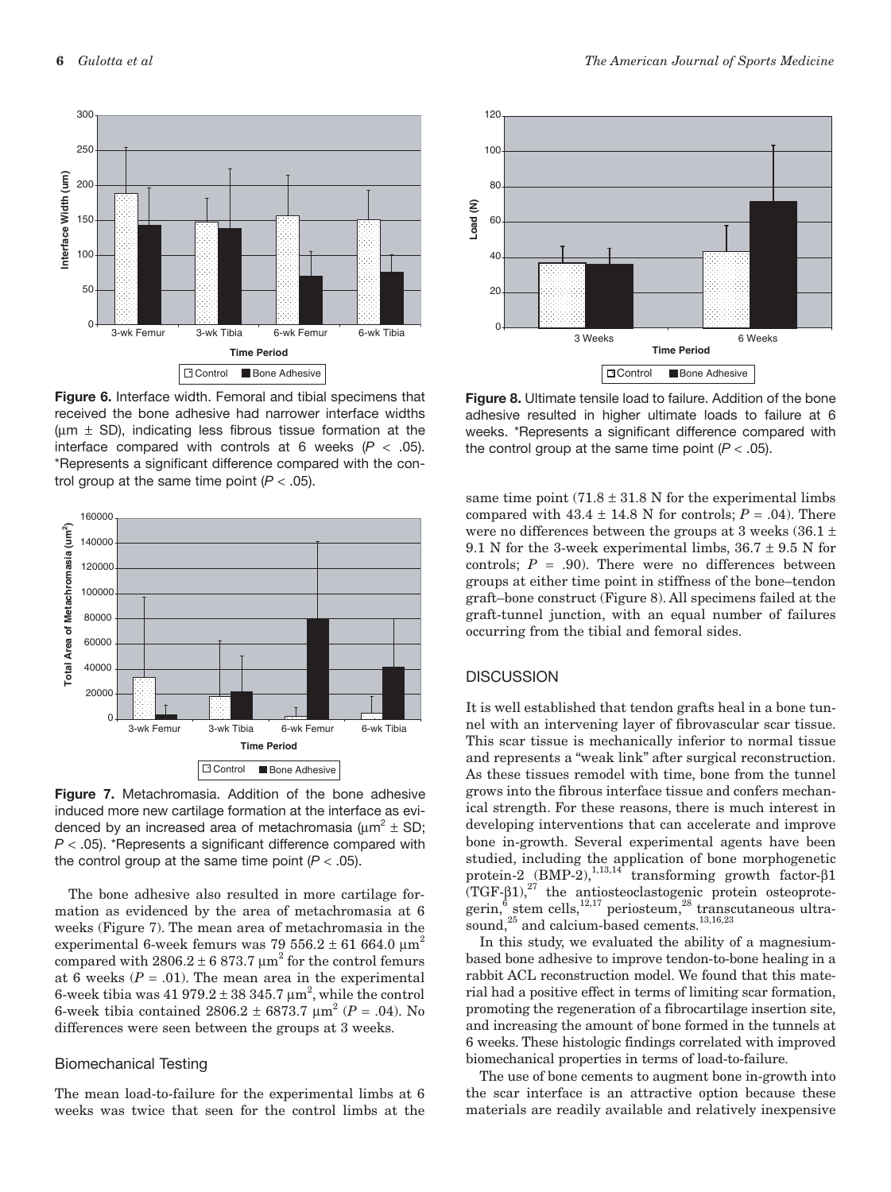

**Figure 6.** Interface width. Femoral and tibial specimens that received the bone adhesive had narrower interface widths ( $\mu$ m  $\pm$  SD), indicating less fibrous tissue formation at the interface compared with controls at 6 weeks  $(P < .05)$ . \*Represents a significant difference compared with the control group at the same time point  $(P < .05)$ .



**Figure 7.** Metachromasia. Addition of the bone adhesive induced more new cartilage formation at the interface as evidenced by an increased area of metachromasia ( $\mu$ m<sup>2</sup> ± SD; *P* < .05). \*Represents a significant difference compared with the control group at the same time point  $(P < .05)$ .

The bone adhesive also resulted in more cartilage formation as evidenced by the area of metachromasia at 6 weeks (Figure 7). The mean area of metachromasia in the experimental 6-week femurs was 79 556.2  $\pm$  61 664.0  $\mu$ m<sup>2</sup> compared with  $2806.2 \pm 6873.7 \mu m^2$  for the control femurs at 6 weeks  $(P = .01)$ . The mean area in the experimental 6-week tibia was 41 979.2  $\pm$  38 345.7  $\mu$ m<sup>2</sup>, while the control 6-week tibia contained  $2806.2 \pm 6873.7 \mu m^2 (P = .04)$ . No differences were seen between the groups at 3 weeks.

#### Biomechanical Testing

The mean load-to-failure for the experimental limbs at 6 weeks was twice that seen for the control limbs at the



**Figure 8.** Ultimate tensile load to failure. Addition of the bone adhesive resulted in higher ultimate loads to failure at 6 weeks. \*Represents a significant difference compared with the control group at the same time point  $(P < .05)$ .

same time point  $(71.8 \pm 31.8 \text{ N}$  for the experimental limbs compared with  $43.4 \pm 14.8$  N for controls;  $P = .04$ ). There were no differences between the groups at 3 weeks  $(36.1 \pm$ 9.1 N for the 3-week experimental limbs,  $36.7 \pm 9.5$  N for controls;  $P = .90$ ). There were no differences between groups at either time point in stiffness of the bone–tendon graft–bone construct (Figure 8). All specimens failed at the graft-tunnel junction, with an equal number of failures occurring from the tibial and femoral sides.

## **DISCUSSION**

It is well established that tendon grafts heal in a bone tunnel with an intervening layer of fibrovascular scar tissue. This scar tissue is mechanically inferior to normal tissue and represents a "weak link" after surgical reconstruction. As these tissues remodel with time, bone from the tunnel grows into the fibrous interface tissue and confers mechanical strength. For these reasons, there is much interest in developing interventions that can accelerate and improve bone in-growth. Several experimental agents have been studied, including the application of bone morphogenetic protein-2  $(BMP-2)$ ,<sup>1,13,14</sup> transforming growth factor-β1  $(TGF-β1)<sup>27</sup>$  the antiosteoclastogenic protein osteoprotegerin, $6$  stem cells,  $12,17$  periosteum,  $28$  transcutaneous ultrasound,<sup>25</sup> and calcium-based cements.<sup>13,16,23</sup>

In this study, we evaluated the ability of a magnesiumbased bone adhesive to improve tendon-to-bone healing in a rabbit ACL reconstruction model. We found that this material had a positive effect in terms of limiting scar formation, promoting the regeneration of a fibrocartilage insertion site, and increasing the amount of bone formed in the tunnels at 6 weeks. These histologic findings correlated with improved biomechanical properties in terms of load-to-failure.

The use of bone cements to augment bone in-growth into the scar interface is an attractive option because these materials are readily available and relatively inexpensive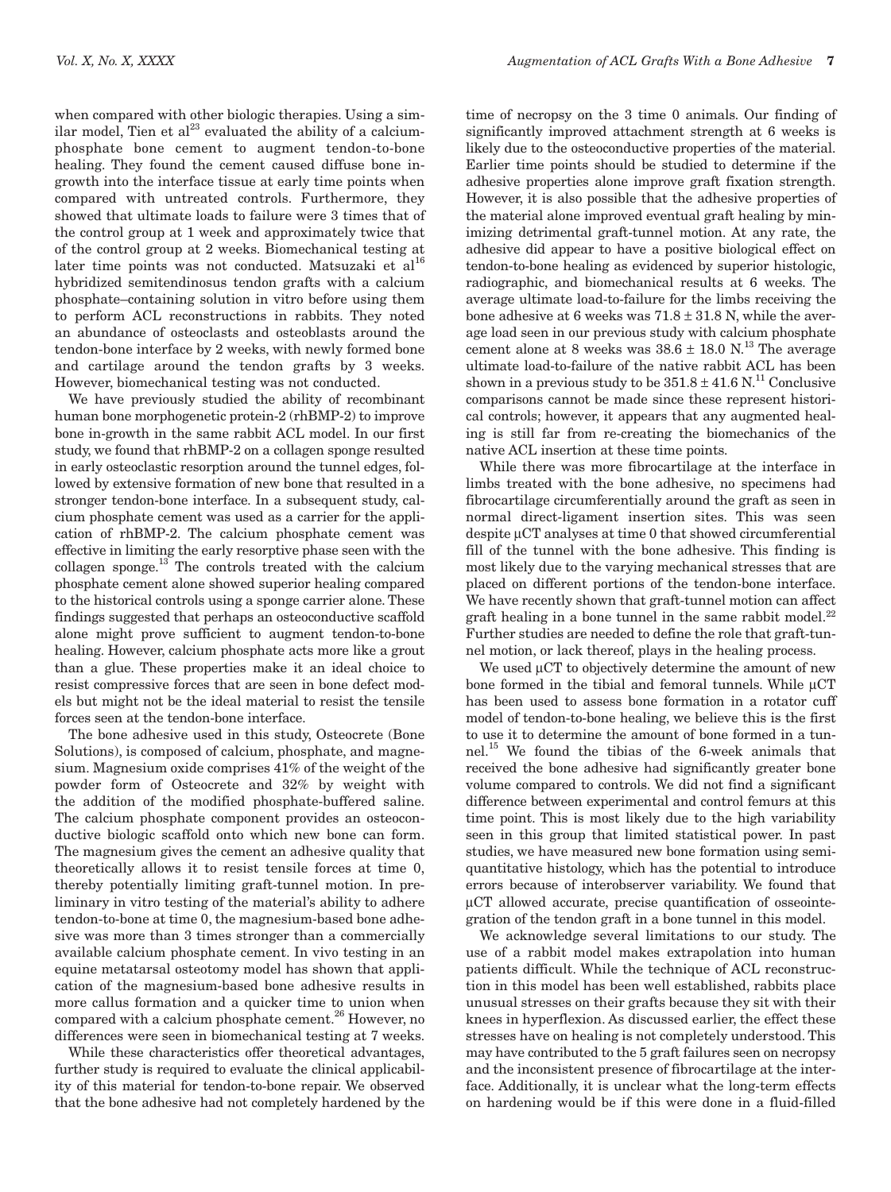when compared with other biologic therapies. Using a similar model, Tien et  $al^{23}$  evaluated the ability of a calciumphosphate bone cement to augment tendon-to-bone healing. They found the cement caused diffuse bone ingrowth into the interface tissue at early time points when compared with untreated controls. Furthermore, they showed that ultimate loads to failure were 3 times that of the control group at 1 week and approximately twice that of the control group at 2 weeks. Biomechanical testing at later time points was not conducted. Matsuzaki et  $al<sup>16</sup>$ hybridized semitendinosus tendon grafts with a calcium phosphate–containing solution in vitro before using them to perform ACL reconstructions in rabbits. They noted an abundance of osteoclasts and osteoblasts around the tendon-bone interface by 2 weeks, with newly formed bone and cartilage around the tendon grafts by 3 weeks. However, biomechanical testing was not conducted.

We have previously studied the ability of recombinant human bone morphogenetic protein-2 (rhBMP-2) to improve bone in-growth in the same rabbit ACL model. In our first study, we found that rhBMP-2 on a collagen sponge resulted in early osteoclastic resorption around the tunnel edges, followed by extensive formation of new bone that resulted in a stronger tendon-bone interface. In a subsequent study, calcium phosphate cement was used as a carrier for the application of rhBMP-2. The calcium phosphate cement was effective in limiting the early resorptive phase seen with the collagen sponge.13 The controls treated with the calcium phosphate cement alone showed superior healing compared to the historical controls using a sponge carrier alone. These findings suggested that perhaps an osteoconductive scaffold alone might prove sufficient to augment tendon-to-bone healing. However, calcium phosphate acts more like a grout than a glue. These properties make it an ideal choice to resist compressive forces that are seen in bone defect models but might not be the ideal material to resist the tensile forces seen at the tendon-bone interface.

The bone adhesive used in this study, Osteocrete (Bone Solutions), is composed of calcium, phosphate, and magnesium. Magnesium oxide comprises 41% of the weight of the powder form of Osteocrete and 32% by weight with the addition of the modified phosphate-buffered saline. The calcium phosphate component provides an osteoconductive biologic scaffold onto which new bone can form. The magnesium gives the cement an adhesive quality that theoretically allows it to resist tensile forces at time 0, thereby potentially limiting graft-tunnel motion. In preliminary in vitro testing of the material's ability to adhere tendon-to-bone at time 0, the magnesium-based bone adhesive was more than 3 times stronger than a commercially available calcium phosphate cement. In vivo testing in an equine metatarsal osteotomy model has shown that application of the magnesium-based bone adhesive results in more callus formation and a quicker time to union when compared with a calcium phosphate cement.<sup>26</sup> However, no differences were seen in biomechanical testing at 7 weeks.

While these characteristics offer theoretical advantages, further study is required to evaluate the clinical applicability of this material for tendon-to-bone repair. We observed that the bone adhesive had not completely hardened by the

time of necropsy on the 3 time 0 animals. Our finding of significantly improved attachment strength at 6 weeks is likely due to the osteoconductive properties of the material. Earlier time points should be studied to determine if the adhesive properties alone improve graft fixation strength. However, it is also possible that the adhesive properties of the material alone improved eventual graft healing by minimizing detrimental graft-tunnel motion. At any rate, the adhesive did appear to have a positive biological effect on tendon-to-bone healing as evidenced by superior histologic, radiographic, and biomechanical results at 6 weeks. The average ultimate load-to-failure for the limbs receiving the bone adhesive at 6 weeks was  $71.8 \pm 31.8$  N, while the average load seen in our previous study with calcium phosphate cement alone at 8 weeks was  $38.6 \pm 18.0$  N.<sup>13</sup> The average ultimate load-to-failure of the native rabbit ACL has been shown in a previous study to be  $351.8 \pm 41.6$  N.<sup>11</sup> Conclusive comparisons cannot be made since these represent historical controls; however, it appears that any augmented healing is still far from re-creating the biomechanics of the native ACL insertion at these time points.

While there was more fibrocartilage at the interface in limbs treated with the bone adhesive, no specimens had fibrocartilage circumferentially around the graft as seen in normal direct-ligament insertion sites. This was seen despite µCT analyses at time 0 that showed circumferential fill of the tunnel with the bone adhesive. This finding is most likely due to the varying mechanical stresses that are placed on different portions of the tendon-bone interface. We have recently shown that graft-tunnel motion can affect graft healing in a bone tunnel in the same rabbit model. $22$ Further studies are needed to define the role that graft-tunnel motion, or lack thereof, plays in the healing process.

We used  $\mu$ CT to objectively determine the amount of new bone formed in the tibial and femoral tunnels. While µCT has been used to assess bone formation in a rotator cuff model of tendon-to-bone healing, we believe this is the first to use it to determine the amount of bone formed in a tunnel.15 We found the tibias of the 6-week animals that received the bone adhesive had significantly greater bone volume compared to controls. We did not find a significant difference between experimental and control femurs at this time point. This is most likely due to the high variability seen in this group that limited statistical power. In past studies, we have measured new bone formation using semiquantitative histology, which has the potential to introduce errors because of interobserver variability. We found that µCT allowed accurate, precise quantification of osseointegration of the tendon graft in a bone tunnel in this model.

We acknowledge several limitations to our study. The use of a rabbit model makes extrapolation into human patients difficult. While the technique of ACL reconstruction in this model has been well established, rabbits place unusual stresses on their grafts because they sit with their knees in hyperflexion. As discussed earlier, the effect these stresses have on healing is not completely understood. This may have contributed to the 5 graft failures seen on necropsy and the inconsistent presence of fibrocartilage at the interface. Additionally, it is unclear what the long-term effects on hardening would be if this were done in a fluid-filled